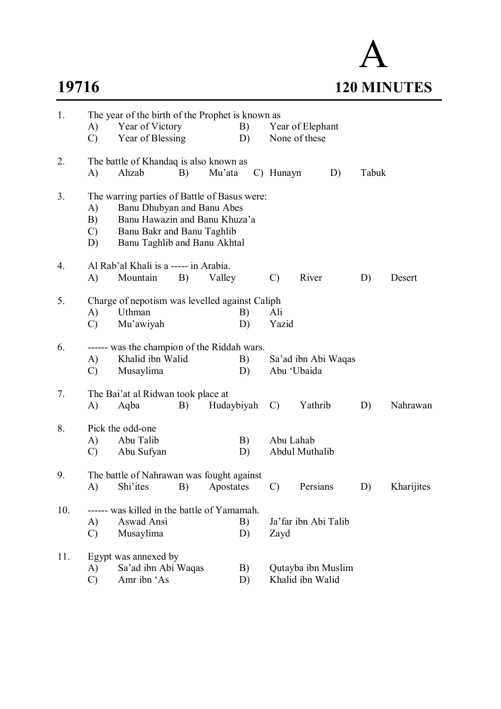## A **19716 120 MINUTES**

| 1.  | A)<br>$\mathcal{C}$             | The year of the birth of the Prophet is known as<br>Year of Victory<br>Year of Blessing                                                                                   | B)<br>D) |            | Year of Elephant<br>None of these |               |                                        |    |       |            |
|-----|---------------------------------|---------------------------------------------------------------------------------------------------------------------------------------------------------------------------|----------|------------|-----------------------------------|---------------|----------------------------------------|----|-------|------------|
| 2.  | A)                              | The battle of Khandaq is also known as<br>Ahzab                                                                                                                           | B)       | Mu'ata     |                                   | C) Hunayn     |                                        | D) | Tabuk |            |
| 3.  | A)<br>B)<br>$\mathcal{C}$<br>D) | The warring parties of Battle of Basus were:<br>Banu Dhubyan and Banu Abes<br>Banu Hawazin and Banu Khuza'a<br>Banu Bakr and Banu Taghlib<br>Banu Taghlib and Banu Akhtal |          |            |                                   |               |                                        |    |       |            |
| 4.  | A)                              | Al Rab'al Khali is a ----- in Arabia.<br>Mountain                                                                                                                         | B)       | Valley     |                                   | $\mathcal{C}$ | River                                  |    | D)    | Desert     |
| 5.  | A)<br>$\mathcal{C}$             | Charge of nepotism was levelled against Caliph<br>Uthman<br>Mu'awiyah                                                                                                     |          |            | B)<br>D)                          | Ali<br>Yazid  |                                        |    |       |            |
| 6.  | A)<br>$\mathcal{C}$             | ------ was the champion of the Riddah wars.<br>Khalid ibn Walid<br>Musaylima                                                                                              |          |            | B)<br>D)                          | Abu 'Ubaida   | Sa'ad ibn Abi Waqas                    |    |       |            |
| 7.  | A)                              | The Bai'at al Ridwan took place at<br>Aqba                                                                                                                                | B)       | Hudaybiyah |                                   | $\mathcal{C}$ | Yathrib                                |    | D)    | Nahrawan   |
| 8.  | A)<br>$\mathcal{C}$             | Pick the odd-one<br>Abu Talib<br>Abu Sufyan                                                                                                                               |          |            | B)<br>D)                          | Abu Lahab     | Abdul Muthalib                         |    |       |            |
| 9.  | A)                              | The battle of Nahrawan was fought against<br>Shi'ites                                                                                                                     | B)       | Apostates  |                                   | $\mathcal{C}$ | Persians                               |    | D)    | Kharijites |
| 10. | A)<br>$\mathcal{C}$             | ------ was killed in the battle of Yamamah.<br>Aswad Ansi<br>Musaylima                                                                                                    |          |            | B)<br>D)                          | Zayd          | Ja'far ibn Abi Talib                   |    |       |            |
| 11. | A)<br>$\mathcal{C}$             | Egypt was annexed by<br>Sa'ad ibn Abi Waqas<br>Amr ibn 'As                                                                                                                |          |            | B)<br>D)                          |               | Qutayba ibn Muslim<br>Khalid ibn Walid |    |       |            |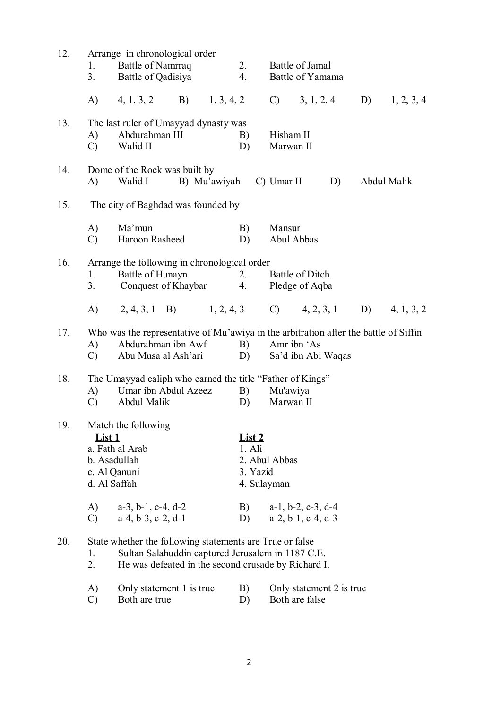| 12. | 1.<br>3.               | Arrange in chronological order<br>Battle of Namrraq<br>Battle of Qadisiya                                                                                            |              | 2.<br>4.                                           |                        | Battle of Jamal<br>Battle of Yamama                   |    |                 |
|-----|------------------------|----------------------------------------------------------------------------------------------------------------------------------------------------------------------|--------------|----------------------------------------------------|------------------------|-------------------------------------------------------|----|-----------------|
|     | A)                     | $(4, 1, 3, 2)$ B) $(1, 3, 4, 2)$                                                                                                                                     |              |                                                    |                        | $C)$ 3, 1, 2, 4                                       |    | D) $1, 2, 3, 4$ |
| 13. | A)<br>$\mathcal{C}$    | The last ruler of Umayyad dynasty was<br>Abdurahman III<br>Walid II                                                                                                  |              | B)<br>D)                                           | Hisham II<br>Marwan II |                                                       |    |                 |
| 14. | A)                     | Dome of the Rock was built by<br>Walid I                                                                                                                             | B) Mu'awiyah |                                                    | $C)$ Umar II           |                                                       | D) | Abdul Malik     |
| 15. |                        | The city of Baghdad was founded by                                                                                                                                   |              |                                                    |                        |                                                       |    |                 |
|     | A)<br>$\mathcal{C}$    | Ma'mun<br>Haroon Rasheed                                                                                                                                             |              | B)<br>D)                                           | Mansur<br>Abul Abbas   |                                                       |    |                 |
| 16. | 1.<br>3.               | Arrange the following in chronological order<br>Battle of Hunayn<br>Conquest of Khaybar                                                                              |              | 2.<br>4.                                           |                        | Battle of Ditch<br>Pledge of Aqba                     |    |                 |
|     | A)                     | 2, 4, 3, 1 B) 1, 2, 4, 3 C) 4, 2, 3, 1 D) 4, 1, 3, 2                                                                                                                 |              |                                                    |                        |                                                       |    |                 |
| 17. | A)<br>$\mathcal{C}$    | Who was the representative of Mu'awiya in the arbitration after the battle of Siffin<br>Abdurahman ibn Awf<br>Abu Musa al Ash'ari                                    |              | B)<br>D)                                           | Amr ibn 'As            | Sa'd ibn Abi Waqas                                    |    |                 |
| 18. | A)<br>$\mathcal{C}$    | The Umayyad caliph who earned the title "Father of Kings"<br>Umar ibn Abdul Azeez<br>Abdul Malik                                                                     |              | B)<br>D)                                           | Mu'awiya<br>Marwan II  |                                                       |    |                 |
| 19. | List 1<br>d. Al Saffah | Match the following<br>a. Fath al Arab<br>b. Asadullah<br>c. Al Qanuni                                                                                               |              | <u>List 2</u><br>1. Ali<br>3. Yazid<br>4. Sulayman | 2. Abul Abbas          |                                                       |    |                 |
|     | A)<br>$\mathcal{C}$    | $a-3$ , $b-1$ , $c-4$ , $d-2$<br>$a-4, b-3, c-2, d-1$                                                                                                                |              | B)<br>D)                                           |                        | $a-1$ , $b-2$ , $c-3$ , $d-4$<br>$a-2, b-1, c-4, d-3$ |    |                 |
| 20. | 1.<br>2.               | State whether the following statements are True or false<br>Sultan Salahuddin captured Jerusalem in 1187 C.E.<br>He was defeated in the second crusade by Richard I. |              |                                                    |                        |                                                       |    |                 |
|     | A)<br>$\mathcal{C}$    | Only statement 1 is true<br>Both are true                                                                                                                            |              | B)<br>D)                                           |                        | Only statement 2 is true<br>Both are false            |    |                 |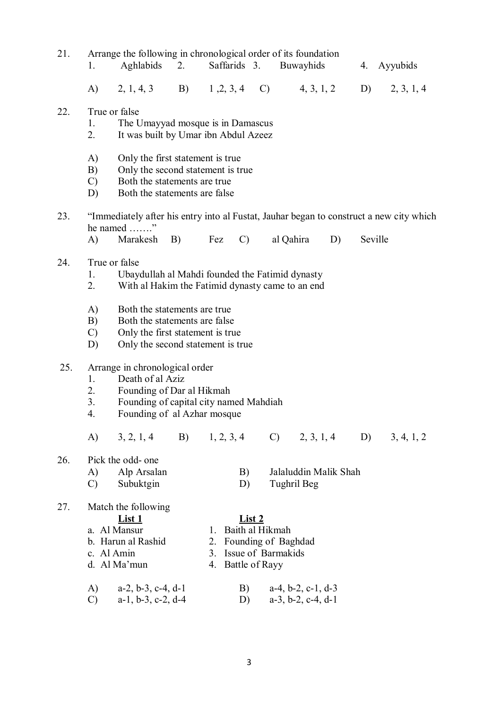| 21. | 1.                                                                                                                               | Arrange the following in chronological order of its foundation<br>Aghlabids                                                                              | 2.            |                     | Saffarids 3.                                                                                             |             | Buwayhids                     |         | 4. Ayyubids |
|-----|----------------------------------------------------------------------------------------------------------------------------------|----------------------------------------------------------------------------------------------------------------------------------------------------------|---------------|---------------------|----------------------------------------------------------------------------------------------------------|-------------|-------------------------------|---------|-------------|
|     | A)                                                                                                                               | $2, 1, 4, 3$ B)                                                                                                                                          |               |                     | $1, 2, 3, 4$ C)                                                                                          |             | 4, 3, 1, 2                    | D)      | 2, 3, 1, 4  |
| 22. | True or false<br>1.<br>2.                                                                                                        | The Umayyad mosque is in Damascus<br>It was built by Umar ibn Abdul Azeez                                                                                |               |                     |                                                                                                          |             |                               |         |             |
|     | A)<br>B)<br>$\mathcal{C}$<br>D)                                                                                                  | Only the first statement is true.<br>Only the second statement is true<br>Both the statements are true<br>Both the statements are false                  |               |                     |                                                                                                          |             |                               |         |             |
| 23. | $\bf{A}$                                                                                                                         | "Immediately after his entry into al Fustat, Jauhar began to construct a new city which<br>he named "<br>Marakesh B)                                     |               | Fez                 | $\mathcal{C}$                                                                                            | al Qahira   | D)                            | Seville |             |
| 24. | True or false<br>Ubaydullah al Mahdi founded the Fatimid dynasty<br>1.<br>2.<br>With al Hakim the Fatimid dynasty came to an end |                                                                                                                                                          |               |                     |                                                                                                          |             |                               |         |             |
|     | A)<br>B)<br>$\mathcal{C}$<br>D)                                                                                                  | Both the statements are true.<br>Both the statements are false<br>Only the first statement is true.<br>Only the second statement is true.                |               |                     |                                                                                                          |             |                               |         |             |
| 25. | $1_{\cdot}$<br>2.<br>3.<br>4.                                                                                                    | Arrange in chronological order<br>Death of al Aziz<br>Founding of Dar al Hikmah<br>Founding of capital city named Mahdiah<br>Founding of al Azhar mosque |               |                     |                                                                                                          |             |                               |         |             |
|     | A)                                                                                                                               | 3, 2, 1, 4                                                                                                                                               | B) 1, 2, 3, 4 |                     |                                                                                                          |             | $C)$ 2, 3, 1, 4               | D)      | 3, 4, 1, 2  |
| 26. | A)<br>$\mathcal{C}$                                                                                                              | Pick the odd- one<br>Alp Arsalan<br>Subuktgin                                                                                                            |               |                     | B)<br>D)                                                                                                 | Tughril Beg | Jalaluddin Malik Shah         |         |             |
| 27. | c. Al Amin<br>A)                                                                                                                 | Match the following<br><u>List 1</u><br>a. Al Mansur<br>b. Harun al Rashid<br>d. Al Ma'mun<br>$a-2$ , $b-3$ , $c-4$ , $d-1$                              |               | $1_{-}$<br>3.<br>4. | <u>List 2</u><br>Baith al Hikmah<br>2. Founding of Baghdad<br>Issue of Barmakids<br>Battle of Rayy<br>B) |             | $a-4, b-2, c-1, d-3$          |         |             |
|     | $\mathcal{C}$                                                                                                                    | $a-1$ , $b-3$ , $c-2$ , $d-4$                                                                                                                            |               |                     | D)                                                                                                       |             | $a-3$ , $b-2$ , $c-4$ , $d-1$ |         |             |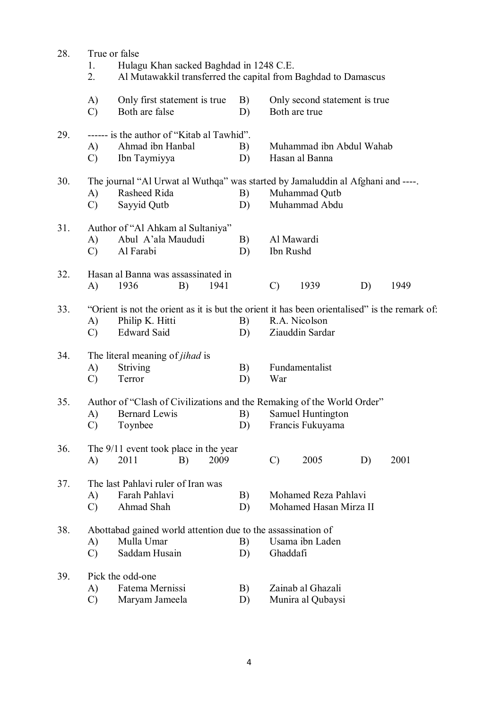| 28. | True or false       |                                                                                                                                                                                        |      |          |               |                                            |    |      |  |  |  |
|-----|---------------------|----------------------------------------------------------------------------------------------------------------------------------------------------------------------------------------|------|----------|---------------|--------------------------------------------|----|------|--|--|--|
|     | 1.<br>2.            | Hulagu Khan sacked Baghdad in 1248 C.E.<br>Al Mutawakkil transferred the capital from Baghdad to Damascus                                                                              |      |          |               |                                            |    |      |  |  |  |
|     | A)<br>$\mathcal{C}$ | Only first statement is true<br>Both are false                                                                                                                                         |      | B)<br>D) | Both are true | Only second statement is true              |    |      |  |  |  |
| 29. | A)<br>$\mathcal{C}$ | ------ is the author of "Kitab al Tawhid".<br>Ahmad ibn Hanbal<br>Ibn Taymiyya                                                                                                         |      | B)<br>D) |               | Muhammad ibn Abdul Wahab<br>Hasan al Banna |    |      |  |  |  |
| 30. | A)<br>$\mathcal{C}$ | The journal "Al Urwat al Wuthqa" was started by Jamaluddin al Afghani and ----.<br>Rasheed Rida<br>Sayyid Qutb                                                                         |      | B)<br>D) |               | Muhammad Qutb<br>Muhammad Abdu             |    |      |  |  |  |
| 31. | A)<br>$\mathcal{C}$ | Author of "Al Ahkam al Sultaniya"<br>Abul A'ala Maududi<br>Al Farabi                                                                                                                   |      | B)<br>D) | Ibn Rushd     | Al Mawardi                                 |    |      |  |  |  |
| 32. | A)                  | Hasan al Banna was assassinated in<br>B)<br>1941<br>$\mathcal{C}$<br>1939<br>D)<br>1949<br>1936                                                                                        |      |          |               |                                            |    |      |  |  |  |
| 33. | A)<br>$\mathcal{C}$ | "Orient is not the orient as it is but the orient it has been orientalised" is the remark of:<br>Philip K. Hitti<br>R.A. Nicolson<br>B)<br><b>Edward Said</b><br>Ziauddin Sardar<br>D) |      |          |               |                                            |    |      |  |  |  |
| 34. | A)<br>$\mathcal{C}$ | The literal meaning of <i>jihad</i> is<br><b>Striving</b><br>Terror                                                                                                                    |      | B)<br>D) | War           | Fundamentalist                             |    |      |  |  |  |
| 35. | A)<br>$\mathcal{C}$ | Author of "Clash of Civilizations and the Remaking of the World Order"<br>Bernard Lewis<br>Toynbee                                                                                     |      | B)<br>D) |               | Samuel Huntington<br>Francis Fukuyama      |    |      |  |  |  |
| 36. | A)                  | The $9/11$ event took place in the year<br>2011<br>B)                                                                                                                                  | 2009 |          | $\mathcal{C}$ | 2005                                       | D) | 2001 |  |  |  |
| 37. | A)<br>$\mathcal{C}$ | The last Pahlavi ruler of Iran was<br>Farah Pahlavi<br>Mohamed Reza Pahlavi<br>B)<br>Ahmad Shah<br>Mohamed Hasan Mirza II<br>D)                                                        |      |          |               |                                            |    |      |  |  |  |
| 38. | A)<br>$\mathcal{C}$ | Abottabad gained world attention due to the assassination of<br>Mulla Umar<br>Saddam Husain                                                                                            |      | B)<br>D) | Ghaddafi      | Usama ibn Laden                            |    |      |  |  |  |
| 39. | A)<br>$\mathcal{C}$ | Pick the odd-one<br>Fatema Mernissi<br>Zainab al Ghazali<br>B)<br>Munira al Qubaysi<br>Maryam Jameela<br>D)                                                                            |      |          |               |                                            |    |      |  |  |  |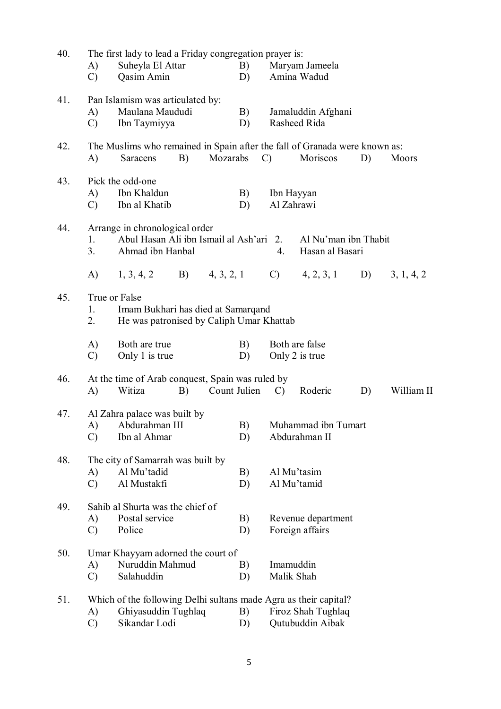| 40. | The first lady to lead a Friday congregation prayer is:          |                                                                            |    |              |    |                    |                      |    |            |  |  |  |
|-----|------------------------------------------------------------------|----------------------------------------------------------------------------|----|--------------|----|--------------------|----------------------|----|------------|--|--|--|
|     | A)                                                               | Suheyla El Attar                                                           |    |              | B) |                    | Maryam Jameela       |    |            |  |  |  |
|     | $\mathcal{C}$                                                    | Qasim Amin                                                                 |    |              | D) |                    | Amina Wadud          |    |            |  |  |  |
| 41. |                                                                  | Pan Islamism was articulated by:                                           |    |              |    |                    |                      |    |            |  |  |  |
|     | A)                                                               | Maulana Maududi                                                            |    |              | B) |                    | Jamaluddin Afghani   |    |            |  |  |  |
|     | $\mathcal{C}$                                                    | Ibn Taymiyya                                                               |    |              | D) |                    | Rasheed Rida         |    |            |  |  |  |
| 42. |                                                                  | The Muslims who remained in Spain after the fall of Granada were known as: |    |              |    |                    |                      |    |            |  |  |  |
|     | A)                                                               | <b>Saracens</b>                                                            | B) | Mozarabs     |    | $\mathcal{C}$      | Moriscos             | D) | Moors      |  |  |  |
| 43. |                                                                  | Pick the odd-one                                                           |    |              |    |                    |                      |    |            |  |  |  |
|     | $\bf{A}$                                                         | Ibn Khaldun                                                                |    |              | B) | Ibn Hayyan         |                      |    |            |  |  |  |
|     | $\mathcal{C}$                                                    | Ibn al Khatib                                                              |    |              | D) | Al Zahrawi         |                      |    |            |  |  |  |
| 44. |                                                                  | Arrange in chronological order                                             |    |              |    |                    |                      |    |            |  |  |  |
|     | 1.                                                               | Abul Hasan Ali ibn Ismail al Ash'ari 2.                                    |    |              |    |                    | Al Nu'man ibn Thabit |    |            |  |  |  |
|     | 3 <sub>1</sub>                                                   | Ahmad ibn Hanbal                                                           |    |              |    | 4.                 | Hasan al Basari      |    |            |  |  |  |
|     | A)                                                               | 1, 3, 4, 2                                                                 | B) | 4, 3, 2, 1   |    | $\mathcal{C}$ )    | 4, 2, 3, 1           | D) | 3, 1, 4, 2 |  |  |  |
| 45. | True or False                                                    |                                                                            |    |              |    |                    |                      |    |            |  |  |  |
|     | 1.                                                               | Imam Bukhari has died at Samarqand                                         |    |              |    |                    |                      |    |            |  |  |  |
|     | 2.                                                               | He was patronised by Caliph Umar Khattab                                   |    |              |    |                    |                      |    |            |  |  |  |
|     | A)                                                               | Both are true                                                              |    |              | B) |                    | Both are false       |    |            |  |  |  |
|     | $\mathcal{C}$                                                    | Only 1 is true                                                             |    |              | D) |                    | Only 2 is true       |    |            |  |  |  |
| 46. |                                                                  | At the time of Arab conquest, Spain was ruled by                           |    |              |    |                    |                      |    |            |  |  |  |
|     | A)                                                               | Witiza                                                                     | B) | Count Julien |    | $\mathcal{C}$      | Roderic              | D) | William II |  |  |  |
| 47. |                                                                  | Al Zahra palace was built by                                               |    |              |    |                    |                      |    |            |  |  |  |
|     | A)                                                               | Abdurahman III                                                             |    |              | B) |                    | Muhammad ibn Tumart  |    |            |  |  |  |
|     | $\mathcal{C}$                                                    | Ibn al Ahmar                                                               |    |              | D) |                    | Abdurahman II        |    |            |  |  |  |
| 48. |                                                                  | The city of Samarrah was built by                                          |    |              |    |                    |                      |    |            |  |  |  |
|     | A)                                                               | Al Mu'tadid                                                                |    |              | B) | Al Mu'tasim        |                      |    |            |  |  |  |
|     | $\mathcal{C}$                                                    | Al Mustakfi                                                                |    |              | D) | Al Mu'tamid        |                      |    |            |  |  |  |
| 49. |                                                                  | Sahib al Shurta was the chief of                                           |    |              |    |                    |                      |    |            |  |  |  |
|     | A)                                                               | Postal service                                                             |    |              | B) |                    | Revenue department   |    |            |  |  |  |
|     | $\mathcal{C}$                                                    | Police                                                                     |    |              | D) |                    | Foreign affairs      |    |            |  |  |  |
| 50. |                                                                  | Umar Khayyam adorned the court of                                          |    |              |    |                    |                      |    |            |  |  |  |
|     | A)                                                               | Nuruddin Mahmud                                                            |    |              | B) | Imamuddin          |                      |    |            |  |  |  |
|     | $\mathcal{C}$                                                    | Salahuddin                                                                 |    |              | D) | Malik Shah         |                      |    |            |  |  |  |
| 51. | Which of the following Delhi sultans made Agra as their capital? |                                                                            |    |              |    |                    |                      |    |            |  |  |  |
|     | A)                                                               | Ghiyasuddin Tughlaq                                                        |    |              | B) | Firoz Shah Tughlaq |                      |    |            |  |  |  |
|     | $\mathcal{C}$                                                    | Sikandar Lodi                                                              |    |              | D) |                    | Qutubuddin Aibak     |    |            |  |  |  |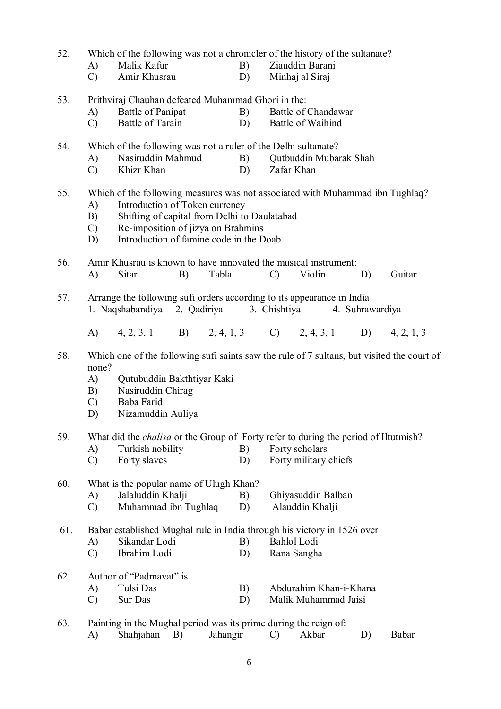| 52. |                                                                                            | Which of the following was not a chronicler of the history of the sultanate?<br>Malik Kafur |    |       | B) |               | Ziauddin Barani        |  |                 |        |  |
|-----|--------------------------------------------------------------------------------------------|---------------------------------------------------------------------------------------------|----|-------|----|---------------|------------------------|--|-----------------|--------|--|
|     | A)<br>$\mathcal{C}$                                                                        | Amir Khusrau                                                                                |    |       | D) |               | Minhaj al Siraj        |  |                 |        |  |
| 53. |                                                                                            | Prithviraj Chauhan defeated Muhammad Ghori in the:                                          |    |       |    |               |                        |  |                 |        |  |
|     | A)                                                                                         | Battle of Panipat                                                                           |    |       | B) |               | Battle of Chandawar    |  |                 |        |  |
|     | $\mathcal{C}$                                                                              | Battle of Tarain                                                                            |    |       | D) |               | Battle of Waihind      |  |                 |        |  |
| 54. |                                                                                            | Which of the following was not a ruler of the Delhi sultanate?                              |    |       |    |               |                        |  |                 |        |  |
|     | A)                                                                                         | Nasiruddin Mahmud                                                                           |    |       | B) |               | Qutbuddin Mubarak Shah |  |                 |        |  |
|     | $\mathcal{C}$                                                                              | Khizr Khan                                                                                  |    |       | D) | Zafar Khan    |                        |  |                 |        |  |
| 55. |                                                                                            | Which of the following measures was not associated with Muhammad ibn Tughlaq?               |    |       |    |               |                        |  |                 |        |  |
|     | A)                                                                                         | Introduction of Token currency                                                              |    |       |    |               |                        |  |                 |        |  |
|     | B)                                                                                         | Shifting of capital from Delhi to Daulatabad                                                |    |       |    |               |                        |  |                 |        |  |
|     | $\mathcal{C}$                                                                              | Re-imposition of jizya on Brahmins                                                          |    |       |    |               |                        |  |                 |        |  |
|     | D)                                                                                         | Introduction of famine code in the Doab                                                     |    |       |    |               |                        |  |                 |        |  |
| 56. |                                                                                            | Amir Khusrau is known to have innovated the musical instrument:                             |    |       |    |               |                        |  |                 |        |  |
|     | A)                                                                                         | Sitar                                                                                       | B) | Tabla |    | $\mathcal{C}$ | Violin                 |  | D)              | Guitar |  |
| 57. |                                                                                            | Arrange the following sufi orders according to its appearance in India                      |    |       |    |               |                        |  |                 |        |  |
|     |                                                                                            | 1. Naqshabandiya 2. Qadiriya                                                                |    |       |    |               | 3. Chishtiya           |  | 4. Suhrawardiya |        |  |
|     |                                                                                            | A) 4, 2, 3, 1 B) 2, 4, 1, 3 C) 2, 4, 3, 1 D) 4, 2, 1, 3                                     |    |       |    |               |                        |  |                 |        |  |
| 58. | Which one of the following sufi saints saw the rule of 7 sultans, but visited the court of |                                                                                             |    |       |    |               |                        |  |                 |        |  |
|     |                                                                                            | none?                                                                                       |    |       |    |               |                        |  |                 |        |  |
|     | A)                                                                                         | Qutubuddin Bakthtiyar Kaki                                                                  |    |       |    |               |                        |  |                 |        |  |
|     | B)                                                                                         | Nasiruddin Chirag                                                                           |    |       |    |               |                        |  |                 |        |  |
|     | $\mathcal{C}$                                                                              | Baba Farid                                                                                  |    |       |    |               |                        |  |                 |        |  |
|     | D)                                                                                         | Nizamuddin Auliya                                                                           |    |       |    |               |                        |  |                 |        |  |
| 59. |                                                                                            | What did the <i>chalisa</i> or the Group of Forty refer to during the period of Iltutmish?  |    |       |    |               |                        |  |                 |        |  |
|     | A)                                                                                         | Turkish nobility                                                                            |    |       | B) |               | Forty scholars         |  |                 |        |  |
|     | $\mathcal{C}$                                                                              | Forty slaves                                                                                |    |       | D) |               | Forty military chiefs  |  |                 |        |  |
| 60. |                                                                                            | What is the popular name of Ulugh Khan?                                                     |    |       |    |               |                        |  |                 |        |  |
|     | A)                                                                                         | Jalaluddin Khalji                                                                           |    |       | B) |               | Ghiyasuddin Balban     |  |                 |        |  |
|     | $\mathcal{C}$                                                                              | Muhammad ibn Tughlaq                                                                        |    |       | D) |               | Alauddin Khalji        |  |                 |        |  |
| 61. |                                                                                            | Babar established Mughal rule in India through his victory in 1526 over                     |    |       |    |               |                        |  |                 |        |  |
|     | A)                                                                                         | Sikandar Lodi                                                                               |    |       | B) |               | Bahlol Lodi            |  |                 |        |  |
|     | $\mathcal{C}$                                                                              | Ibrahim Lodi                                                                                |    |       | D) |               | Rana Sangha            |  |                 |        |  |
| 62. | Author of "Padmavat" is                                                                    |                                                                                             |    |       |    |               |                        |  |                 |        |  |
|     | A)                                                                                         | Tulsi Das                                                                                   |    |       | B) |               | Abdurahim Khan-i-Khana |  |                 |        |  |
|     | $\mathcal{C}$                                                                              | Sur Das                                                                                     |    |       | D) |               | Malik Muhammad Jaisi   |  |                 |        |  |
| 63. | Painting in the Mughal period was its prime during the reign of:                           |                                                                                             |    |       |    |               |                        |  |                 |        |  |

A) Shahjahan B) Jahangir C) Akbar D) Babar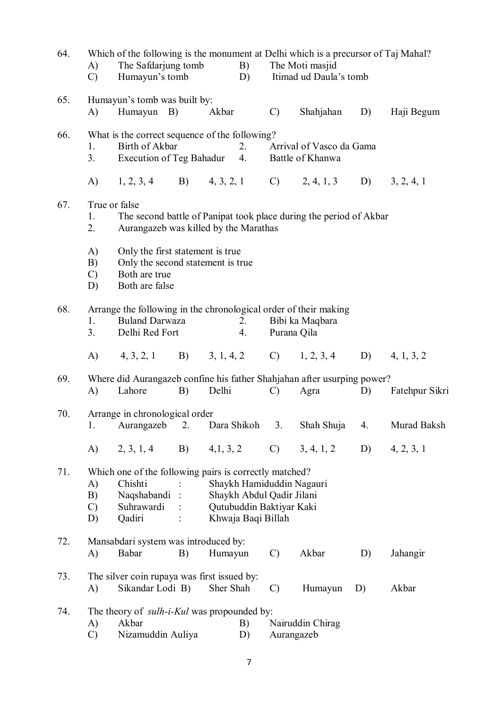| 64. | Which of the following is the monument at Delhi which is a precursor of Taj Mahal?          |                                                                         |    |           |                           |                 |                           |    |                                                           |  |  |
|-----|---------------------------------------------------------------------------------------------|-------------------------------------------------------------------------|----|-----------|---------------------------|-----------------|---------------------------|----|-----------------------------------------------------------|--|--|
|     | $\bf{A}$                                                                                    | The Safdarjung tomb                                                     |    |           | B)                        |                 | The Moti masjid           |    |                                                           |  |  |
|     | $\mathcal{C}$                                                                               | Humayun's tomb                                                          |    |           | D)                        |                 | Itimad ud Daula's tomb    |    |                                                           |  |  |
| 65. |                                                                                             | Humayun's tomb was built by:                                            |    |           |                           |                 |                           |    |                                                           |  |  |
|     | (A)                                                                                         | Humayun B)                                                              |    | Akbar     |                           | $\mathcal{C}$   | Shahjahan                 | D) | Haji Begum                                                |  |  |
| 66. |                                                                                             | What is the correct sequence of the following?                          |    |           |                           |                 |                           |    |                                                           |  |  |
|     | $1_{\cdot}$                                                                                 | Birth of Akbar                                                          |    |           | 2.                        |                 | Arrival of Vasco da Gama  |    |                                                           |  |  |
|     | 3.                                                                                          | Execution of Teg Bahadur 4.                                             |    |           |                           |                 | Battle of Khanwa          |    |                                                           |  |  |
|     |                                                                                             | A) 1, 2, 3, 4 B) 4, 3, 2, 1 C) 2, 4, 1, 3 D) 3, 2, 4, 1                 |    |           |                           |                 |                           |    |                                                           |  |  |
| 67. | True or false                                                                               |                                                                         |    |           |                           |                 |                           |    |                                                           |  |  |
|     | 1.                                                                                          | The second battle of Panipat took place during the period of Akbar      |    |           |                           |                 |                           |    |                                                           |  |  |
|     | 2.                                                                                          | Aurangazeb was killed by the Marathas                                   |    |           |                           |                 |                           |    |                                                           |  |  |
|     | A)                                                                                          | Only the first statement is true                                        |    |           |                           |                 |                           |    |                                                           |  |  |
|     | B)                                                                                          | Only the second statement is true                                       |    |           |                           |                 |                           |    |                                                           |  |  |
|     | $\mathcal{C}$<br>D)                                                                         | Both are true<br>Both are false                                         |    |           |                           |                 |                           |    |                                                           |  |  |
|     |                                                                                             |                                                                         |    |           |                           |                 |                           |    |                                                           |  |  |
| 68. |                                                                                             | Arrange the following in the chronological order of their making        |    |           |                           |                 |                           |    |                                                           |  |  |
|     | 1.<br>3.                                                                                    | <b>Buland Darwaza</b><br>Delhi Red Fort                                 |    |           | 2.<br>4.                  | Purana Qila     | Bibi ka Maqbara           |    |                                                           |  |  |
|     |                                                                                             |                                                                         |    |           |                           |                 |                           |    |                                                           |  |  |
|     |                                                                                             | A) 4, 3, 2, 1 B) 3, 1, 4, 2 C) 1, 2, 3, 4 D) 4, 1, 3, 2                 |    |           |                           |                 |                           |    |                                                           |  |  |
| 69. |                                                                                             | Where did Aurangazeb confine his father Shahjahan after usurping power? |    |           |                           |                 |                           |    |                                                           |  |  |
|     | A)                                                                                          | Lahore                                                                  | B) | Delhi     |                           | $\mathcal{C}$   | Agra                      | D) | Fatehpur Sikri                                            |  |  |
| 70. |                                                                                             | Arrange in chronological order                                          |    |           |                           |                 |                           |    |                                                           |  |  |
|     |                                                                                             |                                                                         |    |           |                           |                 |                           |    | 1. Aurangazeb 2. Dara Shikoh 3. Shah Shuja 4. Murad Baksh |  |  |
|     | A)                                                                                          | 2, 3, 1, 4                                                              | B) | 4,1,3,2   |                           | $\mathcal{C}$ ) | 3, 4, 1, 2                | D) | 4, 2, 3, 1                                                |  |  |
|     |                                                                                             |                                                                         |    |           |                           |                 |                           |    |                                                           |  |  |
| 71. | A)                                                                                          | Which one of the following pairs is correctly matched?<br>Chishti       |    |           |                           |                 | Shaykh Hamiduddin Nagauri |    |                                                           |  |  |
|     | B)                                                                                          | Naqshabandi:                                                            |    |           | Shaykh Abdul Qadir Jilani |                 |                           |    |                                                           |  |  |
|     | $\mathcal{C}$                                                                               | Suhrawardi                                                              |    |           | Qutubuddin Baktiyar Kaki  |                 |                           |    |                                                           |  |  |
|     | D)                                                                                          | Qadiri                                                                  |    |           | Khwaja Baqi Billah        |                 |                           |    |                                                           |  |  |
| 72. |                                                                                             | Mansabdari system was introduced by:                                    |    |           |                           |                 |                           |    |                                                           |  |  |
|     | A)                                                                                          | Babar                                                                   | B) | Humayun   |                           | $\mathcal{C}$   | Akbar                     | D) | Jahangir                                                  |  |  |
| 73. |                                                                                             | The silver coin rupaya was first issued by:                             |    |           |                           |                 |                           |    |                                                           |  |  |
|     | A)                                                                                          | Sikandar Lodi B)                                                        |    | Sher Shah |                           | $\mathcal{C}$   | Humayun                   | D) | Akbar                                                     |  |  |
| 74. |                                                                                             |                                                                         |    |           |                           |                 |                           |    |                                                           |  |  |
|     | The theory of <i>sulh-i-Kul</i> was propounded by:<br>Akbar<br>Nairuddin Chirag<br>A)<br>B) |                                                                         |    |           |                           |                 |                           |    |                                                           |  |  |
|     | $\mathcal{C}$                                                                               | Nizamuddin Auliya                                                       |    |           | D)                        | Aurangazeb      |                           |    |                                                           |  |  |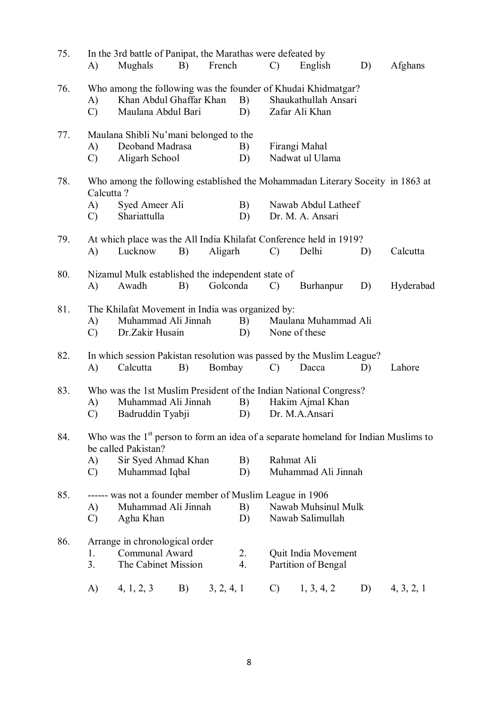| 75. | A)                               | In the 3rd battle of Panipat, the Marathas were defeated by<br>Mughals                                                                                | B) | French     |          | $\mathcal{C}$   | English                                    | D) | Afghans    |
|-----|----------------------------------|-------------------------------------------------------------------------------------------------------------------------------------------------------|----|------------|----------|-----------------|--------------------------------------------|----|------------|
| 76. | A)<br>$\mathcal{C}$              | Who among the following was the founder of Khudai Khidmatgar?<br>Khan Abdul Ghaffar Khan<br>Maulana Abdul Bari                                        |    |            | B)<br>D) |                 | Shaukathullah Ansari<br>Zafar Ali Khan     |    |            |
| 77. | A)<br>$\mathcal{C}$              | Maulana Shibli Nu'mani belonged to the<br>Deoband Madrasa<br>Aligarh School                                                                           |    |            | B)<br>D) |                 | Firangi Mahal<br>Nadwat ul Ulama           |    |            |
| 78. | Calcutta?<br>A)<br>$\mathcal{C}$ | Who among the following established the Mohammadan Literary Soceity in 1863 at<br>Syed Ameer Ali<br>Shariattulla                                      |    |            | B)<br>D) |                 | Nawab Abdul Latheef<br>Dr. M. A. Ansari    |    |            |
| 79. | A)                               | At which place was the All India Khilafat Conference held in 1919?<br>Lucknow                                                                         | B) | Aligarh    |          | $\mathcal{C}$   | Delhi                                      | D) | Calcutta   |
| 80. | $\bf{A}$                         | Nizamul Mulk established the independent state of<br>Awadh                                                                                            | B) | Golconda   |          | $\mathcal{C}$   | Burhanpur                                  | D) | Hyderabad  |
| 81. | A)<br>$\mathcal{C}$              | The Khilafat Movement in India was organized by:<br>Muhammad Ali Jinnah<br>Dr.Zakir Husain                                                            |    |            | B)<br>D) |                 | Maulana Muhammad Ali<br>None of these      |    |            |
| 82. | A)                               | In which session Pakistan resolution was passed by the Muslim League?<br>Calcutta                                                                     | B) | Bombay     |          | $\mathcal{C}$   | Dacca                                      | D) | Lahore     |
| 83. | A)<br>$\mathcal{C}$              | Who was the 1st Muslim President of the Indian National Congress?<br>Muhammad Ali Jinnah<br>Badruddin Tyabji                                          |    |            | B)<br>D) |                 | Hakim Ajmal Khan<br>Dr. M.A.Ansari         |    |            |
| 84. | A)<br>$\mathcal{C}$              | Who was the $1st$ person to form an idea of a separate homeland for Indian Muslims to<br>be called Pakistan?<br>Sir Syed Ahmad Khan<br>Muhammad Iqbal |    |            | B)<br>D) | Rahmat Ali      | Muhammad Ali Jinnah                        |    |            |
| 85. | A)<br>$\mathcal{C}$              | ------ was not a founder member of Muslim League in 1906<br>Muhammad Ali Jinnah<br>Agha Khan                                                          |    |            | B)<br>D) |                 | Nawab Muhsinul Mulk<br>Nawab Salimullah    |    |            |
| 86. | 1.<br>3 <sub>1</sub>             | Arrange in chronological order<br>Communal Award<br>The Cabinet Mission                                                                               |    |            | 2.<br>4. |                 | Quit India Movement<br>Partition of Bengal |    |            |
|     | A)                               | 4, 1, 2, 3                                                                                                                                            | B) | 3, 2, 4, 1 |          | $\mathcal{C}$ ) | 1, 3, 4, 2                                 | D) | 4, 3, 2, 1 |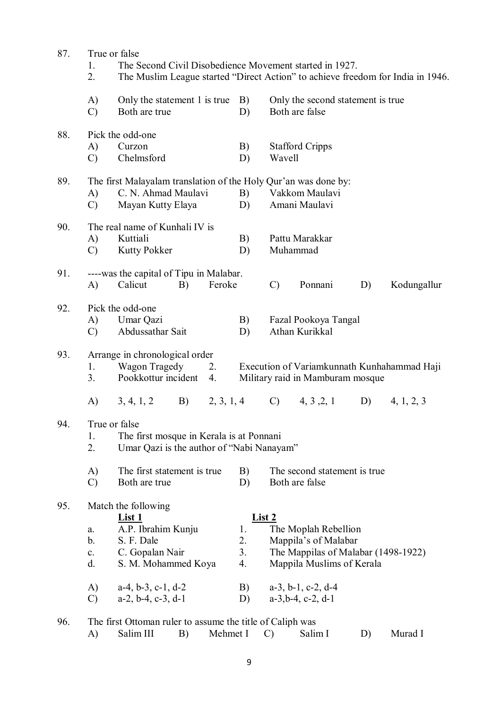| 87. | True or false        |                                                                 |               |                                                                                 |  |  |  |  |  |  |  |  |
|-----|----------------------|-----------------------------------------------------------------|---------------|---------------------------------------------------------------------------------|--|--|--|--|--|--|--|--|
|     | 1.                   | The Second Civil Disobedience Movement started in 1927.         |               |                                                                                 |  |  |  |  |  |  |  |  |
|     | 2.                   |                                                                 |               | The Muslim League started "Direct Action" to achieve freedom for India in 1946. |  |  |  |  |  |  |  |  |
|     | A)                   | Only the statement 1 is true                                    | B)            | Only the second statement is true.                                              |  |  |  |  |  |  |  |  |
|     | $\mathcal{C}$        | Both are true                                                   | D)            | Both are false                                                                  |  |  |  |  |  |  |  |  |
| 88. |                      | Pick the odd-one                                                |               |                                                                                 |  |  |  |  |  |  |  |  |
|     | A)                   | Curzon                                                          | B)            | <b>Stafford Cripps</b>                                                          |  |  |  |  |  |  |  |  |
|     | $\mathcal{C}$        | Chelmsford                                                      | D)            | Wavell                                                                          |  |  |  |  |  |  |  |  |
| 89. |                      | The first Malayalam translation of the Holy Qur'an was done by: |               |                                                                                 |  |  |  |  |  |  |  |  |
|     | A)                   | C. N. Ahmad Maulavi                                             | B)            | Vakkom Maulavi                                                                  |  |  |  |  |  |  |  |  |
|     | $\mathcal{C}$        | Mayan Kutty Elaya                                               | D)            | Amani Maulavi                                                                   |  |  |  |  |  |  |  |  |
| 90. |                      | The real name of Kunhali IV is                                  |               |                                                                                 |  |  |  |  |  |  |  |  |
|     | A)                   | Kuttiali                                                        | B)            | Pattu Marakkar                                                                  |  |  |  |  |  |  |  |  |
|     | $\mathcal{C}$        | <b>Kutty Pokker</b>                                             | D)            | Muhammad                                                                        |  |  |  |  |  |  |  |  |
| 91. |                      | ----was the capital of Tipu in Malabar.                         |               |                                                                                 |  |  |  |  |  |  |  |  |
|     | A)                   | Calicut<br>Feroke<br>B)                                         |               | Ponnani<br>$\mathcal{C}$<br>Kodungallur<br>D)                                   |  |  |  |  |  |  |  |  |
| 92. |                      | Pick the odd-one                                                |               |                                                                                 |  |  |  |  |  |  |  |  |
|     | A)                   | Umar Qazi                                                       | B)            | Fazal Pookoya Tangal                                                            |  |  |  |  |  |  |  |  |
|     | $\mathcal{C}$        | Abdussathar Sait                                                | D)            | Athan Kurikkal                                                                  |  |  |  |  |  |  |  |  |
| 93. |                      | Arrange in chronological order                                  |               |                                                                                 |  |  |  |  |  |  |  |  |
|     | 1.                   | Wagon Tragedy<br>2.                                             |               | Execution of Variamkunnath Kunhahammad Haji                                     |  |  |  |  |  |  |  |  |
|     | 3.                   | Pookkottur incident<br>4.                                       |               | Military raid in Mamburam mosque                                                |  |  |  |  |  |  |  |  |
|     | A)                   | 3, 4, 1, 2<br>2, 3, 1, 4<br>B)                                  |               | 4, 3, 2, 1<br>4, 1, 2, 3<br>$\mathcal{C}$<br>D)                                 |  |  |  |  |  |  |  |  |
| 94. | True or false        |                                                                 |               |                                                                                 |  |  |  |  |  |  |  |  |
|     | 1.                   | The first mosque in Kerala is at Ponnani                        |               |                                                                                 |  |  |  |  |  |  |  |  |
|     | 2.                   | Umar Qazi is the author of "Nabi Nanayam"                       |               |                                                                                 |  |  |  |  |  |  |  |  |
|     | A)                   | The first statement is true.                                    | B)            | The second statement is true.                                                   |  |  |  |  |  |  |  |  |
|     | $\mathcal{C}$        | Both are true                                                   | D)            | Both are false                                                                  |  |  |  |  |  |  |  |  |
| 95. |                      | Match the following                                             |               |                                                                                 |  |  |  |  |  |  |  |  |
|     |                      | <u>List 1</u>                                                   | <b>List 2</b> |                                                                                 |  |  |  |  |  |  |  |  |
|     | a.                   | A.P. Ibrahim Kunju                                              | 1.            | The Moplah Rebellion                                                            |  |  |  |  |  |  |  |  |
|     | b.                   | S. F. Dale                                                      | 2.            | Mappila's of Malabar                                                            |  |  |  |  |  |  |  |  |
|     | $\mathbf{c}$ .<br>d. | C. Gopalan Nair                                                 | 3.            | The Mappilas of Malabar (1498-1922)                                             |  |  |  |  |  |  |  |  |
|     |                      | S. M. Mohammed Koya                                             | 4.            | Mappila Muslims of Kerala                                                       |  |  |  |  |  |  |  |  |
|     | A)                   | $a-4, b-3, c-1, d-2$                                            | B)            | $a-3$ , $b-1$ , $c-2$ , $d-4$                                                   |  |  |  |  |  |  |  |  |
|     | $\mathcal{C}$        | $a-2$ , $b-4$ , $c-3$ , $d-1$                                   | D)            | $a-3,b-4, c-2, d-1$                                                             |  |  |  |  |  |  |  |  |
| 96. |                      | The first Ottoman ruler to assume the title of Caliph was       |               |                                                                                 |  |  |  |  |  |  |  |  |

A) Salim III B) Mehmet I C) Salim I D) Murad I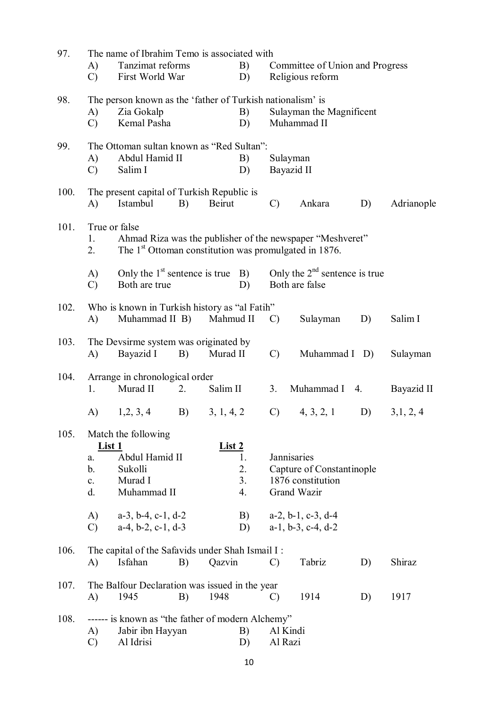| 97.  | A)<br>$\mathcal{C}$                               | The name of Ibrahim Temo is associated with<br>Tanzimat reforms<br>B)<br>First World War<br>D) |                                                         |                                                      |                      | Committee of Union and Progress<br>Religious reform |                                                                |    |            |  |  |  |
|------|---------------------------------------------------|------------------------------------------------------------------------------------------------|---------------------------------------------------------|------------------------------------------------------|----------------------|-----------------------------------------------------|----------------------------------------------------------------|----|------------|--|--|--|
| 98.  | A)<br>$\mathcal{C}$                               | The person known as the 'father of Turkish nationalism' is<br>Zia Gokalp<br>Kemal Pasha        |                                                         |                                                      | B)<br>D)             |                                                     | Sulayman the Magnificent<br>Muhammad II                        |    |            |  |  |  |
| 99.  | A)<br>$\mathcal{C}$                               | The Ottoman sultan known as "Red Sultan":<br>Abdul Hamid II<br>Salim I                         |                                                         |                                                      | B)<br>D)             | Sulayman<br>Bayazid II                              |                                                                |    |            |  |  |  |
| 100. | A)                                                | Istambul                                                                                       | B)                                                      | The present capital of Turkish Republic is<br>Beirut |                      |                                                     | Ankara                                                         | D) | Adrianople |  |  |  |
| 101. | True or false<br>1.<br>2.                         | The 1 <sup>st</sup> Ottoman constitution was promulgated in 1876.                              |                                                         |                                                      |                      |                                                     | Ahmad Riza was the publisher of the newspaper "Meshveret"      |    |            |  |  |  |
|      | $\mathbf{A}$<br>$\mathcal{C}$                     | Both are true                                                                                  | Only the $1st$ sentence is true B)<br>D)                |                                                      |                      |                                                     | Only the $2nd$ sentence is true<br>Both are false              |    |            |  |  |  |
| 102. | A)                                                | Who is known in Turkish history as "al Fatih"<br>Muhammad II B) Mahmud II                      |                                                         |                                                      |                      | $\mathcal{C}$                                       | Sulayman                                                       | D) | Salim I    |  |  |  |
| 103. | A)                                                | Bayazid I                                                                                      | The Devsirme system was originated by<br>Murad II<br>B) |                                                      |                      | $\mathcal{C}$                                       | Muhammad I D)                                                  |    | Sulayman   |  |  |  |
| 104. | 1.                                                | Arrange in chronological order<br>Murad II                                                     | 2.                                                      | Salim II                                             |                      | 3.                                                  | Muhammad I 4.                                                  |    | Bayazid II |  |  |  |
|      | A)                                                | 1, 2, 3, 4                                                                                     | <b>B</b> )                                              | 3, 1, 4, 2                                           |                      | $\mathcal{C}$ )                                     | 4, 3, 2, 1                                                     | D) | 3,1,2,4    |  |  |  |
| 105. | <u>List 1</u><br>a.<br>b.<br>$\mathbf{c}$ .<br>d. | Match the following<br>Abdul Hamid II<br>Sukolli<br>Murad I<br>Muhammad II                     |                                                         | <u>List 2</u>                                        | 1.<br>2.<br>3.<br>4. | Jannisaries                                         | Capture of Constantinople<br>1876 constitution<br>Grand Wazir  |    |            |  |  |  |
|      | A)<br>$\mathcal{C}$                               | $a-3$ , $b-4$ , $c-1$ , $d-2$<br>$a-4$ , $b-2$ , $c-1$ , $d-3$                                 |                                                         |                                                      | B)<br>D)             |                                                     | $a-2$ , $b-1$ , $c-3$ , $d-4$<br>$a-1$ , $b-3$ , $c-4$ , $d-2$ |    |            |  |  |  |
| 106. | A)                                                | The capital of the Safavids under Shah Ismail I:<br>Isfahan                                    | B)                                                      | Qazvin                                               |                      | $\mathcal{C}$                                       | Tabriz                                                         | D) | Shiraz     |  |  |  |
| 107. | A)                                                | The Balfour Declaration was issued in the year<br>1945                                         | B)                                                      | 1948                                                 |                      | $\mathcal{C}$                                       | 1914                                                           | D) | 1917       |  |  |  |
| 108. | A)<br>C)                                          | ------ is known as "the father of modern Alchemy"<br>Jabir ibn Hayyan<br>B)<br>Al Idrisi<br>D) |                                                         |                                                      |                      | Al Kindi<br>Al Razi                                 |                                                                |    |            |  |  |  |